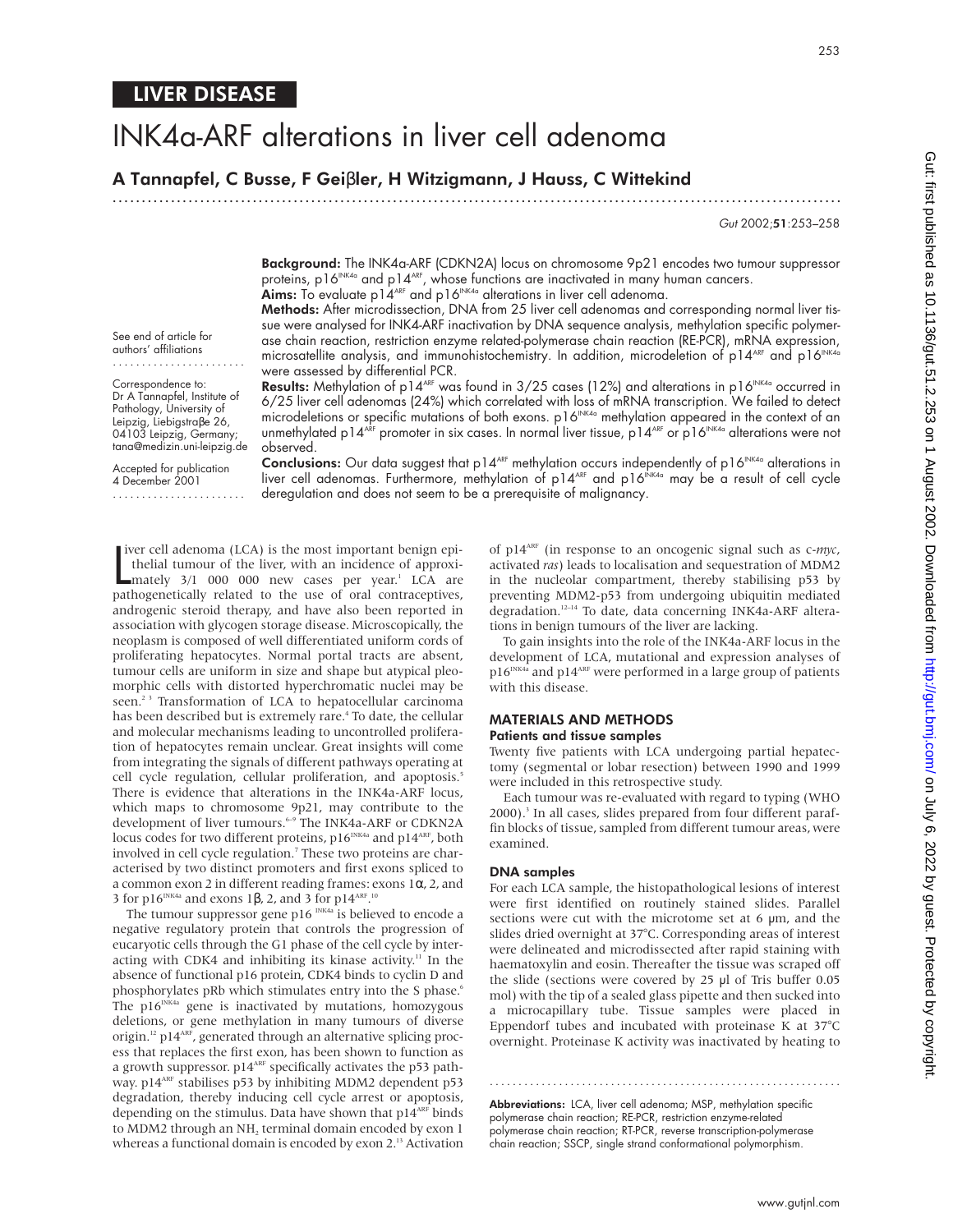# INK4a-ARF alterations in liver cell adenoma

A Tannapfel, C Busse, F Geiβler, H Witzigmann, J Hauss, C Wittekind

.............................................................................................................................

Gut 2002;51:253–258

Background: The INK4a-ARF (CDKN2A) locus on chromosome 9p21 encodes two tumour suppressor proteins, p16<sup>INK4a</sup> and p14<sup>ARF</sup>, whose functions are inactivated in many human cancers. Aims: To evaluate p1 $4^{ARF}$  and p16<sup>INK4a</sup> alterations in liver cell adenoma.

Methods: After microdissection, DNA from 25 liver cell adenomas and corresponding normal liver tissue were analysed for INK4-ARF inactivation by DNA sequence analysis, methylation specific polymerase chain reaction, restriction enzyme related-polymerase chain reaction (RE-PCR), mRNA expression, microsatellite analysis, and immunohistochemistry. In addition, microdeletion of  $p14^{\text{AF}}$  and  $p16^{\text{INKA}}$ were assessed by differential PCR.

Results: Methylation of p14<sup>ARF</sup> was found in  $3/25$  cases (12%) and alterations in p16<sup>INK4a</sup> occurred in 6/25 liver cell adenomas (24%) which correlated with loss of mRNA transcription. We failed to detect microdeletions or specific mutations of both exons. p16<sup>NK4a</sup> methylation appeared in the context of an unmethylated p14<sup>ARF</sup> promoter in six cases. In normal liver tissue, p14<sup>ARF</sup> or p16<sup>INK4a</sup> alterations were not observed.

tana@medizin.uni-leipzig.de Accepted for publication 4 December 2001 .......................

See end of article for authors' affiliations ....................... Correspondence to: Dr A Tannapfel, Institute of Pathology, University of Leipzig, Liebigstraβe 26, 04103 Leipzig, Germany;

> Conclusions: Our data suggest that p14<sup>ARF</sup> methylation occurs independently of p16<sup>INK4a</sup> alterations in liver cell adenomas. Furthermore, methylation of p14<sup>ARF</sup> and p16<sup>INK4a</sup> may be a result of cell cycle deregulation and does not seem to be a prerequisite of malignancy.

I iver cell adenoma (LCA) is the most important benign epithelial tumour of the liver, with an incidence of approximately 3/1 000 000 new cases per year.<sup>1</sup> LCA are nathogenetically related to the use of oral contracentive iver cell adenoma (LCA) is the most important benign epithelial tumour of the liver, with an incidence of approxipathogenetically related to the use of oral contraceptives, androgenic steroid therapy, and have also been reported in association with glycogen storage disease. Microscopically, the neoplasm is composed of well differentiated uniform cords of proliferating hepatocytes. Normal portal tracts are absent, tumour cells are uniform in size and shape but atypical pleomorphic cells with distorted hyperchromatic nuclei may be seen.<sup>23</sup> Transformation of LCA to hepatocellular carcinoma has been described but is extremely rare.<sup>4</sup> To date, the cellular and molecular mechanisms leading to uncontrolled proliferation of hepatocytes remain unclear. Great insights will come from integrating the signals of different pathways operating at cell cycle regulation, cellular proliferation, and apoptosis.<sup>5</sup> There is evidence that alterations in the INK4a-ARF locus, which maps to chromosome 9p21, may contribute to the development of liver tumours.<sup>6-9</sup> The INK4a-ARF or CDKN2A locus codes for two different proteins, p16<sup>INK4a</sup> and p14<sup>ARF</sup>, both involved in cell cycle regulation.<sup>7</sup> These two proteins are characterised by two distinct promoters and first exons spliced to a common exon 2 in different reading frames: exons  $1\alpha$ , 2, and 3 for p16<sup>INK4a</sup> and exons 1β, 2, and 3 for p14<sup>ARF.10</sup>

The tumour suppressor gene p16  $NKAa$  is believed to encode a negative regulatory protein that controls the progression of eucaryotic cells through the G1 phase of the cell cycle by interacting with CDK4 and inhibiting its kinase activity.<sup>11</sup> In the absence of functional p16 protein, CDK4 binds to cyclin D and phosphorylates pRb which stimulates entry into the S phase.<sup>6</sup> The  $p16^{INK4a}$  gene is inactivated by mutations, homozygous deletions, or gene methylation in many tumours of diverse origin.<sup>12</sup> p14<sup>ARF</sup>, generated through an alternative splicing process that replaces the first exon, has been shown to function as a growth suppressor.  $p14^{\text{ART}}$  specifically activates the p53 pathway. p14<sup>ARF</sup> stabilises p53 by inhibiting MDM2 dependent p53 degradation, thereby inducing cell cycle arrest or apoptosis, depending on the stimulus. Data have shown that  $p14^{ART}$  binds to MDM2 through an NH<sub>2</sub> terminal domain encoded by exon 1 whereas a functional domain is encoded by exon 2.<sup>13</sup> Activation

of p14ARF (in response to an oncogenic signal such as c-*myc*, activated *ras*) leads to localisation and sequestration of MDM2 in the nucleolar compartment, thereby stabilising p53 by preventing MDM2-p53 from undergoing ubiquitin mediated degradation.<sup>12-14</sup> To date, data concerning INK4a-ARF alterations in benign tumours of the liver are lacking.

To gain insights into the role of the INK4a-ARF locus in the development of LCA, mutational and expression analyses of  $p16^{\mbox{\tiny{INK4a}}}$  and  $p14^{\mbox{\tiny{ART}}}$  were performed in a large group of patients with this disease.

#### MATERIALS AND METHODS Patients and tissue samples

Twenty five patients with LCA undergoing partial hepatectomy (segmental or lobar resection) between 1990 and 1999 were included in this retrospective study.

Each tumour was re-evaluated with regard to typing (WHO 2000).<sup>3</sup> In all cases, slides prepared from four different paraffin blocks of tissue, sampled from different tumour areas, were examined.

#### DNA samples

For each LCA sample, the histopathological lesions of interest were first identified on routinely stained slides. Parallel sections were cut with the microtome set at 6  $\mu$ m, and the slides dried overnight at 37°C. Corresponding areas of interest were delineated and microdissected after rapid staining with haematoxylin and eosin. Thereafter the tissue was scraped off the slide (sections were covered by 25 µl of Tris buffer 0.05 mol) with the tip of a sealed glass pipette and then sucked into a microcapillary tube. Tissue samples were placed in Eppendorf tubes and incubated with proteinase K at 37°C overnight. Proteinase K activity was inactivated by heating to

Abbreviations: LCA, liver cell adenoma; MSP, methylation specific polymerase chain reaction; RE-PCR, restriction enzyme-related polymerase chain reaction; RT-PCR, reverse transcription-polymerase chain reaction; SSCP, single strand conformational polymorphism.

.............................................................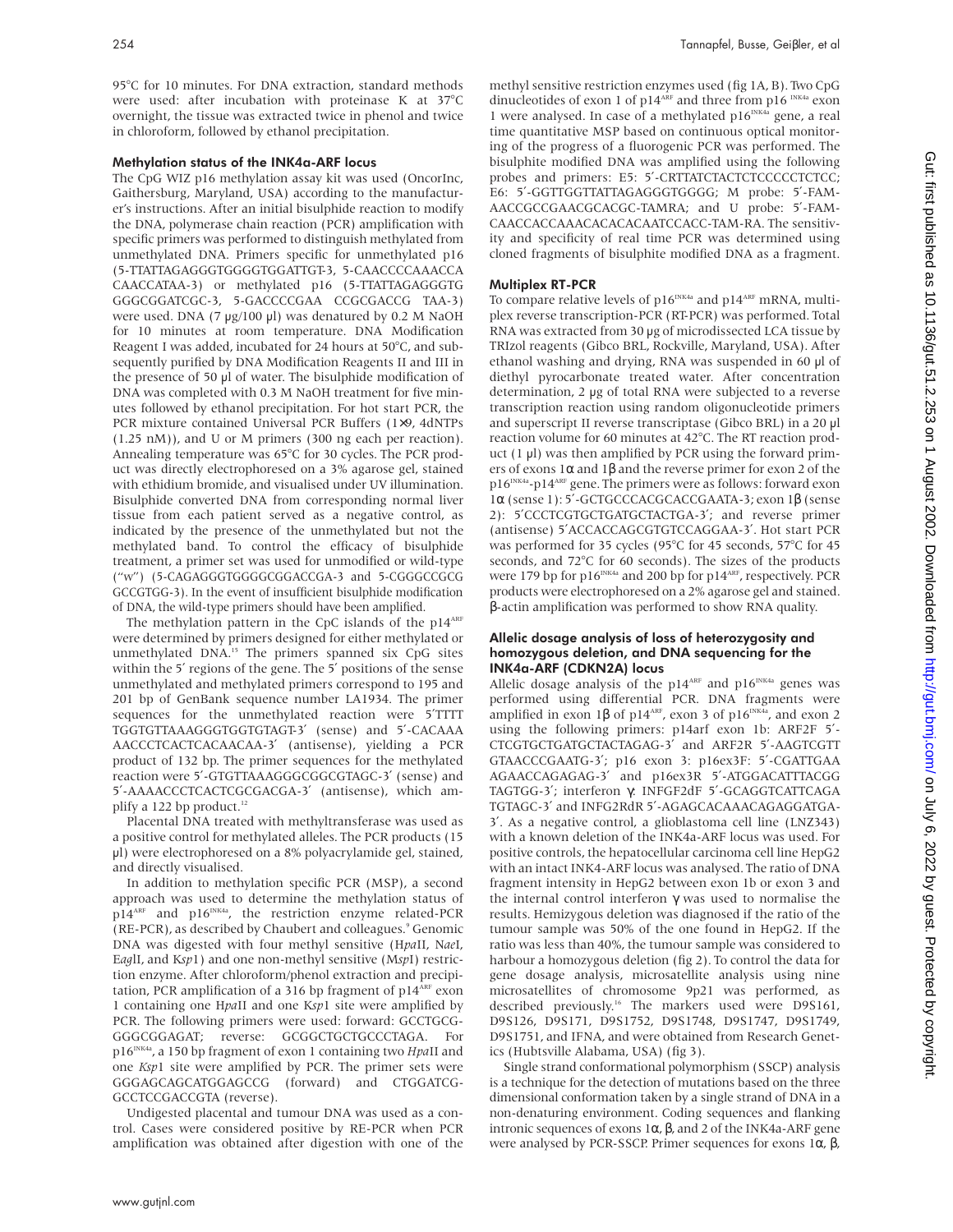95°C for 10 minutes. For DNA extraction, standard methods were used: after incubation with proteinase K at 37°C overnight, the tissue was extracted twice in phenol and twice in chloroform, followed by ethanol precipitation.

#### Methylation status of the INK4a-ARF locus

The CpG WIZ p16 methylation assay kit was used (OncorInc, Gaithersburg, Maryland, USA) according to the manufacturer's instructions. After an initial bisulphide reaction to modify the DNA, polymerase chain reaction (PCR) amplification with specific primers was performed to distinguish methylated from unmethylated DNA. Primers specific for unmethylated p16 (5-TTATTAGAGGGTGGGGTGGATTGT-3, 5-CAACCCCAAACCA CAACCATAA-3) or methylated p16 (5-TTATTAGAGGGTG GGGCGGATCGC-3, 5-GACCCCGAA CCGCGACCG TAA-3) were used. DNA (7 µg/100 µl) was denatured by 0.2 M NaOH for 10 minutes at room temperature. DNA Modification Reagent I was added, incubated for 24 hours at 50°C, and subsequently purified by DNA Modification Reagents II and III in the presence of 50 µl of water. The bisulphide modification of DNA was completed with 0.3 M NaOH treatment for five minutes followed by ethanol precipitation. For hot start PCR, the PCR mixture contained Universal PCR Buffers (1×9, 4dNTPs (1.25 nM)), and U or M primers (300 ng each per reaction). Annealing temperature was 65°C for 30 cycles. The PCR product was directly electrophoresed on a 3% agarose gel, stained with ethidium bromide, and visualised under UV illumination. Bisulphide converted DNA from corresponding normal liver tissue from each patient served as a negative control, as indicated by the presence of the unmethylated but not the methylated band. To control the efficacy of bisulphide treatment, a primer set was used for unmodified or wild-type ("w") (5-CAGAGGGTGGGGCGGACCGA-3 and 5-CGGGCCGCG GCCGTGG-3). In the event of insufficient bisulphide modification of DNA, the wild-type primers should have been amplified.

The methylation pattern in the CpC islands of the  $p14^{\text{ART}}$ were determined by primers designed for either methylated or unmethylated DNA.15 The primers spanned six CpG sites within the 5' regions of the gene. The 5' positions of the sense unmethylated and methylated primers correspond to 195 and 201 bp of GenBank sequence number LA1934. The primer sequences for the unmethylated reaction were 5<sup>'TTTT</sup> TGGTGTTAAAGGGTGGTGTAGT-3′ (sense) and 5′-CACAAA AACCCTCACTCACAACAA-3′ (antisense), yielding a PCR product of 132 bp. The primer sequences for the methylated reaction were 5′-GTGTTAAAGGGCGGCGTAGC-3′ (sense) and 5′-AAAACCCTCACTCGCGACGA-3′ (antisense), which amplify a 122 bp product. $12$ 

Placental DNA treated with methyltransferase was used as a positive control for methylated alleles. The PCR products (15 µl) were electrophoresed on a 8% polyacrylamide gel, stained, and directly visualised.

In addition to methylation specific PCR (MSP), a second approach was used to determine the methylation status of p14<sup>ARF</sup> and p16<sup>INK4a</sup>, the restriction enzyme related-PCR (RE-PCR), as described by Chaubert and colleagues.<sup>9</sup> Genomic DNA was digested with four methyl sensitive (H*pa*II, N*ae*I, <sup>E</sup>*ag*lI, and K*sp*1) and one non-methyl sensitive (M*sp*I) restriction enzyme. After chloroform/phenol extraction and precipitation, PCR amplification of a 316 bp fragment of p14<sup>ARF</sup> exon 1 containing one H*pa*II and one K*sp*1 site were amplified by PCR. The following primers were used: forward: GCCTGCG-GGGCGGAGAT; reverse: GCGGCTGCTGCCCTAGA. For p16<sup>INK4a</sup>, a 150 bp fragment of exon 1 containing two *HpaII* and one *Ksp*1 site were amplified by PCR. The primer sets were GGGAGCAGCATGGAGCCG (forward) and CTGGATCG-GCCTCCGACCGTA (reverse).

Undigested placental and tumour DNA was used as a control. Cases were considered positive by RE-PCR when PCR amplification was obtained after digestion with one of the

methyl sensitive restriction enzymes used (fig 1A, B). Two CpG dinucleotides of exon 1 of p14<sup>ARF</sup> and three from p16  $^{INKAa}$  exon 1 were analysed. In case of a methylated p16<sup>INK4a</sup> gene, a real time quantitative MSP based on continuous optical monitoring of the progress of a fluorogenic PCR was performed. The bisulphite modified DNA was amplified using the following probes and primers: E5: 5'-CRTTATCTACTCTCCCCCTCTCC; E6: 5′-GGTTGGTTATTAGAGGGTGGGG; M probe: 5′-FAM-AACCGCCGAACGCACGC-TAMRA; and U probe: 5′-FAM-CAACCACCAAACACACACAATCCACC-TAM-RA. The sensitivity and specificity of real time PCR was determined using cloned fragments of bisulphite modified DNA as a fragment.

### Multiplex RT-PCR

To compare relative levels of  $p16^{INK4a}$  and  $p14^{ART}$  mRNA, multiplex reverse transcription-PCR (RT-PCR) was performed. Total RNA was extracted from 30 µg of microdissected LCA tissue by TRIzol reagents (Gibco BRL, Rockville, Maryland, USA). After ethanol washing and drying, RNA was suspended in 60 µl of diethyl pyrocarbonate treated water. After concentration determination, 2 µg of total RNA were subjected to a reverse transcription reaction using random oligonucleotide primers and superscript II reverse transcriptase (Gibco BRL) in a 20 µl reaction volume for 60 minutes at 42°C. The RT reaction product  $(1 \mu l)$  was then amplified by PCR using the forward primers of exons 1α and 1β and the reverse primer for exon 2 of the  $\rm p16^{INKA}$  -p14  $\rm ARF$  gene. The primers were as follows: forward exon 1α (sense 1): 5′-GCTGCCCACGCACCGAATA-3; exon 1β (sense 2): 5′CCCTCGTGCTGATGCTACTGA-3′; and reverse primer (antisense) 5′ACCACCAGCGTGTCCAGGAA-3′. Hot start PCR was performed for 35 cycles (95°C for 45 seconds, 57°C for 45 seconds, and 72°C for 60 seconds). The sizes of the products were 179 bp for p16<sup>INK4a</sup> and 200 bp for p14<sup>ARF</sup>, respectively. PCR products were electrophoresed on a 2% agarose gel and stained. β-actin amplification was performed to show RNA quality.

#### Allelic dosage analysis of loss of heterozygosity and homozygous deletion, and DNA sequencing for the INK4a-ARF (CDKN2A) locus

Allelic dosage analysis of the p14<sup>ARF</sup> and p16<sup>INK4a</sup> genes was performed using differential PCR. DNA fragments were amplified in exon 1β of p14<sup>ARF</sup>, exon 3 of p16<sup>INK4a</sup>, and exon 2 using the following primers: p14arf exon 1b: ARF2F 5′- CTCGTGCTGATGCTACTAGAG-3′ and ARF2R 5′-AAGTCGTT GTAACCCGAATG-3′; p16 exon 3: p16ex3F: 5′-CGATTGAA AGAACCAGAGAG-3′ and p16ex3R 5′-ATGGACATTTACGG TAGTGG-3′; interferon γ: INFGF2dF 5′-GCAGGTCATTCAGA TGTAGC-3′ and INFG2RdR 5′-AGAGCACAAACAGAGGATGA-3′. As a negative control, a glioblastoma cell line (LNZ343) with a known deletion of the INK4a-ARF locus was used. For positive controls, the hepatocellular carcinoma cell line HepG2 with an intact INK4-ARF locus was analysed. The ratio of DNA fragment intensity in HepG2 between exon 1b or exon 3 and the internal control interferon  $γ$  was used to normalise the results. Hemizygous deletion was diagnosed if the ratio of the tumour sample was 50% of the one found in HepG2. If the ratio was less than 40%, the tumour sample was considered to harbour a homozygous deletion (fig 2). To control the data for gene dosage analysis, microsatellite analysis using nine microsatellites of chromosome 9p21 was performed, as described previously.<sup>16</sup> The markers used were D9S161, D9S126, D9S171, D9S1752, D9S1748, D9S1747, D9S1749, D9S1751, and IFNA, and were obtained from Research Genetics (Hubtsville Alabama, USA) (fig 3).

Single strand conformational polymorphism (SSCP) analysis is a technique for the detection of mutations based on the three dimensional conformation taken by a single strand of DNA in a non-denaturing environment. Coding sequences and flanking intronic sequences of exons 1α, β, and 2 of the INK4a-ARF gene were analysed by PCR-SSCP. Primer sequences for exons 1α, β,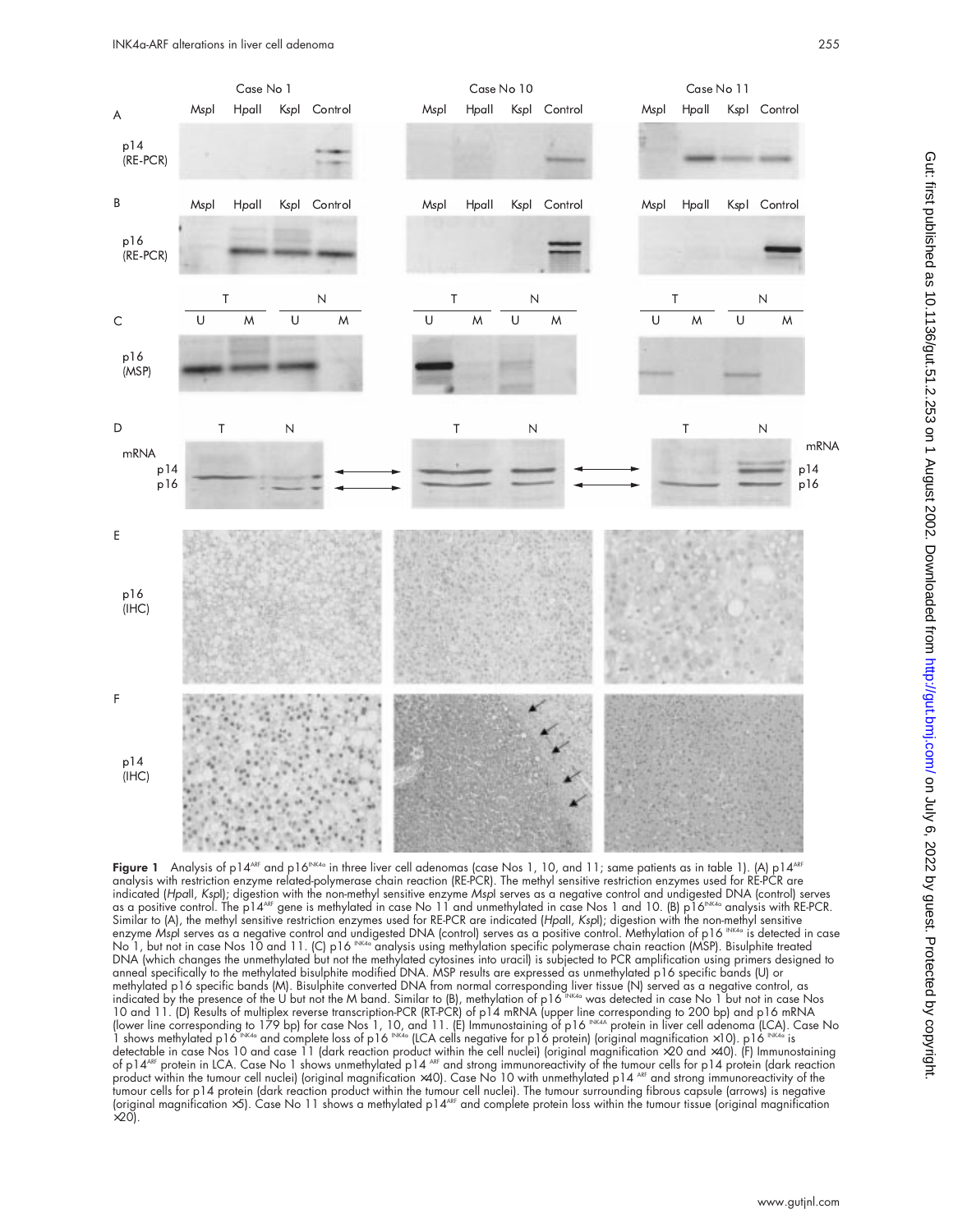

Figure 1 Analysis of p14<sup>ARF</sup> and p16<sup>INK4a</sup> in three liver cell adenomas (case Nos 1, 10, and 11; same patients as in table 1). (A) p14<sup>ARF</sup> analysis with restriction enzyme related-polymerase chain reaction (RE-PCR). The methyl sensitive restriction enzymes used for RE-PCR are indicated (HpaII, KspI); digestion with the non-methyl sensitive enzyme MspI serves as a negative control and undigested DNA (control) serves as a positive control. The p14<sup>ARF</sup> gene is methylated in case No 11 and unmethylated in case Nos 1 and 10. (B) p16<sup>INK4a</sup> analysis with RE-PCR. Similar to (A), the methyl sensitive restriction enzymes used for RE-PCR are indicated (HpaII, KspI); digestion with the non-methyl sensitive enzyme Mspl serves as a negative control and undigested DNA (control) serves as a positive control. Methylation of p16 INK4a is detected in case No 1, but not in case Nos 10 and 11. (C) p16  $^{\text{\tiny{\textsf{INKA}}}}$  analysis using methylation specific polymerase chain reaction (MSP). Bisulphite treated DNA (which changes the unmethylated but not the methylated cytosines into uracil) is subjected to PCR amplification using primers designed to anneal specifically to the methylated bisulphite modified DNA. MSP results are expressed as unmethylated p16 specific bands (U) or methylated p16 specific bands (M). Bisulphite converted DNA from normal corresponding liver tissue (N) served as a negative control, as indicated by the presence of the U but not the M band. Similar to (B), methylation of p16  $^{\text{\tiny{INKA}}}$  was detected in case No 1 but not in case Nos 10 and 11. (D) Results of multiplex reverse transcription-PCR (RT-PCR) of p14 mRNA (upper line corresponding to 200 bp) and p16 mRNA (lower line corresponding to 179 bp) for case Nos 1, 10, and 11. (E) Immunostaining of p16 INK4A protein in liver cell adenoma (LCA). Case No 1 shows methylated p16  $\frac{\mathsf{NN4a}}{\mathsf{NKAa}}$  and complete loss of p16  $\mathsf{NN4a}\ \mathsf{NAda}\ \mathsf{NAda}$  is clear that negative for p16 protein) (original magnification  $\times10$ ). p16  $\mathsf{NN4a}\ \mathsf{is}$ detectable in case Nos 10 and case 11 (dark reaction product within the cell nuclei) (original magnification ×20 and ×40). (F) Immunostaining of p14<sup>ARF</sup> protein in LCA. Case No 1 shows unmethylated p14 <sup>ARF</sup> and strong immunoreactivity of the tumour cells for p14 protein (dark reaction product within the tumour cell nuclei) (original magnification ×40). Case No 10 with unmethylated p14 ARF and strong immunoreactivity of the tumour cells for p14 protein (dark reaction product within the tumour cell nuclei). The tumour surrounding fibrous capsule (arrows) is negative (original magnification ×5). Case No 11 shows a methylated p14<sup>ARF</sup> and complete protein loss within the tumour tissue (original magnification  $\times$ 20).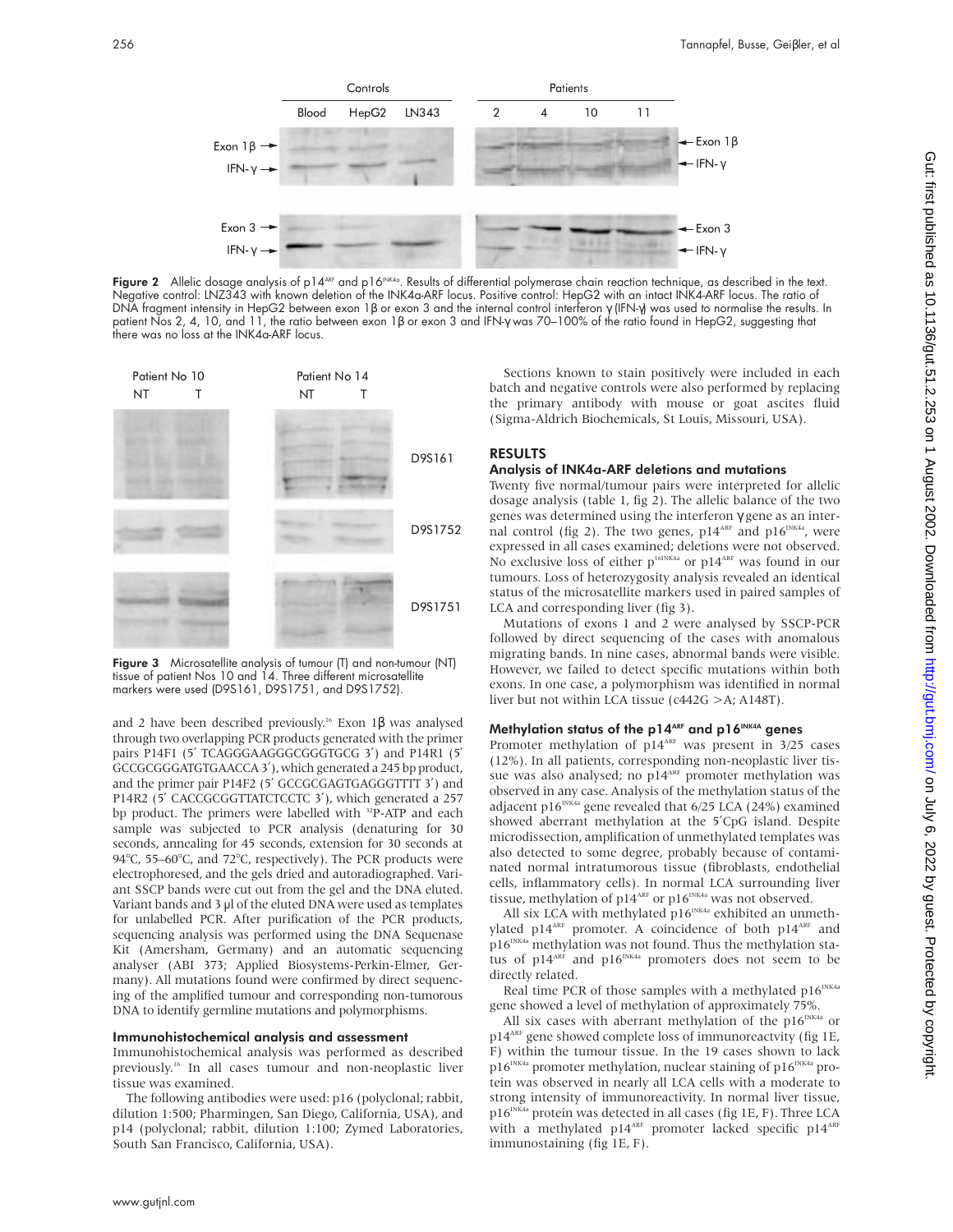

Figure 2 Allelic dosage analysis of p14<sup>ABF</sup> and p16<sup>INK4a</sup>. Results of differential polymerase chain reaction technique, as described in the text. Negative control: LNZ343 with known deletion of the INK4a-ARF locus. Positive control: HepG2 with an intact INK4-ARF locus. The ratio of DNA fragment intensity in HepG2 between exon 1β or exon 3 and the internal control interferon γ (IFN-γ) was used to normalise the results. In patient Nos 2, 4, 10, and 11, the ratio between exon 1β or exon 3 and IFN-γ was 70–100% of the ratio found in HepG2, suggesting that there was no loss at the INK4a-ARF locus.



Figure 3 Microsatellite analysis of tumour (T) and non-tumour (NT) tissue of patient Nos 10 and 14. Three different microsatellite markers were used (D9S161, D9S1751, and D9S1752).

and 2 have been described previously.<sup>16</sup> Exon 1β was analysed through two overlapping PCR products generated with the primer pairs P14F1 (5' TCAGGGAAGGGGGGGGGGGG 3') and P14R1 (5' GCCGCGGGATGTGAACCA 3′), which generated a 245 bp product, and the primer pair P14F2 (5′ GCCGCGAGTGAGGGTTTT 3′) and P14R2 (5' CACCGCGGTTATCTCCTC 3'), which generated a 257 bp product. The primers were labelled with <sup>32</sup>P-ATP and each sample was subjected to PCR analysis (denaturing for 30 seconds, annealing for 45 seconds, extension for 30 seconds at 94°C, 55–60°C, and 72°C, respectively). The PCR products were electrophoresed, and the gels dried and autoradiographed. Variant SSCP bands were cut out from the gel and the DNA eluted. Variant bands and 3  $\mu$ l of the eluted DNA were used as templates for unlabelled PCR. After purification of the PCR products, sequencing analysis was performed using the DNA Sequenase Kit (Amersham, Germany) and an automatic sequencing analyser (ABI 373; Applied Biosystems-Perkin-Elmer, Germany). All mutations found were confirmed by direct sequencing of the amplified tumour and corresponding non-tumorous DNA to identify germline mutations and polymorphisms.

#### Immunohistochemical analysis and assessment

Immunohistochemical analysis was performed as described previously.16 In all cases tumour and non-neoplastic liver tissue was examined.

The following antibodies were used: p16 (polyclonal; rabbit, dilution 1:500; Pharmingen, San Diego, California, USA), and p14 (polyclonal; rabbit, dilution 1:100; Zymed Laboratories, South San Francisco, California, USA).

Sections known to stain positively were included in each batch and negative controls were also performed by replacing the primary antibody with mouse or goat ascites fluid (Sigma-Aldrich Biochemicals, St Louis, Missouri, USA).

#### RESULTS

#### Analysis of INK4a-ARF deletions and mutations

Twenty five normal/tumour pairs were interpreted for allelic dosage analysis (table 1, fig 2). The allelic balance of the two genes was determined using the interferon γ gene as an internal control (fig 2). The two genes,  $p14^{ART}$  and  $p16^{INK4a}$ , were expressed in all cases examined; deletions were not observed. No exclusive loss of either p<sup>16INK4a</sup> or p14<sup>ARF</sup> was found in our tumours. Loss of heterozygosity analysis revealed an identical status of the microsatellite markers used in paired samples of LCA and corresponding liver (fig 3).

Mutations of exons 1 and 2 were analysed by SSCP-PCR followed by direct sequencing of the cases with anomalous migrating bands. In nine cases, abnormal bands were visible. However, we failed to detect specific mutations within both exons. In one case, a polymorphism was identified in normal liver but not within LCA tissue (c442G >A; A148T).

## Methylation status of the p14<sup>ARF</sup> and p16<sup>INK4A</sup> genes

Promoter methylation of  $p14<sup>ART</sup>$  was present in 3/25 cases (12%). In all patients, corresponding non-neoplastic liver tissue was also analysed; no p14<sup>ARF</sup> promoter methylation was observed in any case. Analysis of the methylation status of the adjacent p16<sup>INK4a</sup> gene revealed that  $6/25$  LCA (24%) examined showed aberrant methylation at the 5′CpG island. Despite microdissection, amplification of unmethylated templates was also detected to some degree, probably because of contaminated normal intratumorous tissue (fibroblasts, endothelial cells, inflammatory cells). In normal LCA surrounding liver tissue, methylation of  $p14^{\text{ARE}}$  or  $p16^{\text{INK4a}}$  was not observed.

All six LCA with methylated  $p16^{INKA}$  exhibited an unmethylated p14<sup>ARF</sup> promoter. A coincidence of both p14<sup>ARF</sup> and  $p16^{INK4a}$  methylation was not found. Thus the methylation status of p14<sup>ARF</sup> and p16<sup>INK4a</sup> promoters does not seem to be directly related.

Real time PCR of those samples with a methylated  $p16^{INKA}$ gene showed a level of methylation of approximately 75%.

All six cases with aberrant methylation of the  $p16^{INKA}$  or p14<sup>ARF</sup> gene showed complete loss of immunoreactvity (fig 1E, F) within the tumour tissue. In the 19 cases shown to lack  $p16^{INKA}$  promoter methylation, nuclear staining of  $p16^{INKA}$  protein was observed in nearly all LCA cells with a moderate to strong intensity of immunoreactivity. In normal liver tissue, p16<sup>INK4a</sup> protein was detected in all cases (fig 1E, F). Three LCA with a methylated p14<sup>ARF</sup> promoter lacked specific p14<sup>ARF</sup> immunostaining (fig 1E, F).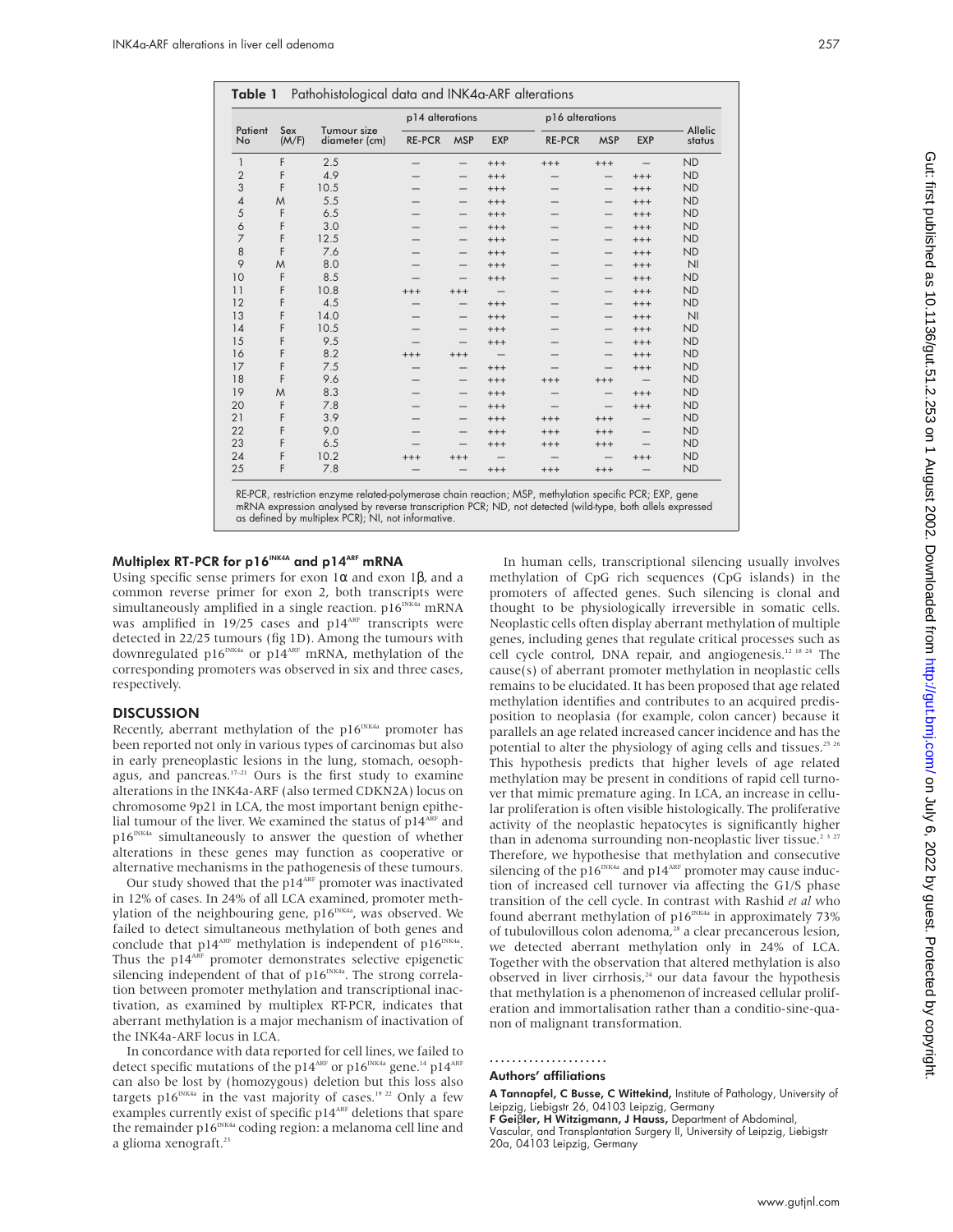|                | Sex<br>(M/F) | Tumour size<br>diameter (cm) | p14 alterations |                                 |                          | p16 alterations |            |            |                   |
|----------------|--------------|------------------------------|-----------------|---------------------------------|--------------------------|-----------------|------------|------------|-------------------|
| Patient<br>No  |              |                              | <b>RE-PCR</b>   | <b>MSP</b>                      | <b>EXP</b>               | <b>RE-PCR</b>   | <b>MSP</b> | <b>EXP</b> | Allelic<br>status |
| $\mathbf{1}$   | F            | 2.5                          | -               | $\qquad \qquad - \qquad \qquad$ | $+++$                    | $+++$           | $+++$      |            | <b>ND</b>         |
| $\overline{2}$ | F            | 4.9                          |                 |                                 | $^{+++}$                 |                 |            | $+++$      | <b>ND</b>         |
| 3              | F            | 10.5                         |                 |                                 | $^{+++}$                 |                 | –          | $^{+++}$   | <b>ND</b>         |
| $\overline{4}$ | M            | 5.5                          |                 | -                               | $+++$                    |                 | —          | $+++$      | <b>ND</b>         |
| 5              | F            | 6.5                          |                 |                                 | $^{+++}$                 |                 |            | $^{+++}$   | <b>ND</b>         |
| 6              | F            | 3.0                          |                 | -                               | $^{+++}$                 |                 | —          | $^{+++}$   | <b>ND</b>         |
| 7              | F            | 12.5                         |                 | —                               | $^{+++}$                 |                 | —          | $^{+++}$   | <b>ND</b>         |
| 8              | F            | 7.6                          |                 |                                 | $^{+++}$                 |                 |            | $^{+++}$   | <b>ND</b>         |
| 9              | M            | 8.0                          |                 |                                 | $^{+++}$                 |                 |            | $^{+++}$   | N                 |
| 10             | F            | 8.5                          |                 |                                 | $^{+++}$                 |                 | —          | $^{+++}$   | <b>ND</b>         |
| 11             | F            | 10.8                         | $+++$           | $^{+++}$                        | $\overline{\phantom{0}}$ |                 |            | $+++$      | <b>ND</b>         |
| 12             | F            | 4.5                          |                 | -                               | $^{+++}$                 |                 | -          | $^{+++}$   | <b>ND</b>         |
| 13             | F            | 14.0                         |                 | –                               | $+++$                    |                 | —          | $^{+++}$   | N                 |
| 14             | F            | 10.5                         |                 |                                 | $^{+++}$                 |                 |            | $^{+++}$   | <b>ND</b>         |
| 15             | F            | 9.5                          |                 |                                 | $^{+++}$                 |                 |            | $^{+++}$   | <b>ND</b>         |
| 16             | F            | 8.2                          | $^{+++}$        | $^{+++}$                        | $\overline{\phantom{0}}$ |                 |            | $^{+++}$   | <b>ND</b>         |
| 17             | F            | 7.5                          |                 | -                               | $^{+++}$                 |                 |            | $^{+++}$   | <b>ND</b>         |
| 18             | F            | 9.6                          |                 | -                               | $+++$                    | $+++$           | $^{+++}$   | -          | <b>ND</b>         |
| 19             | M            | 8.3                          |                 | $\qquad \qquad - \qquad \qquad$ | $^{+++}$                 | –               | —          | $^{+++}$   | <b>ND</b>         |
| 20             | F            | 7.8                          |                 |                                 | $^{+++}$                 |                 |            | $^{+++}$   | <b>ND</b>         |
| 21             | F            | 3.9                          |                 |                                 | $+++$                    | $+++$           | $+++$      |            | <b>ND</b>         |
| 22             | F            | 9.0                          |                 |                                 | $^{+++}$                 | $^{+++}$        | $+++$      |            | <b>ND</b>         |
| 23             | F            | 6.5                          |                 |                                 | $^{+++}$                 | $^{+++}$        | $^{+++}$   |            | <b>ND</b>         |
| 24             | F            | 10.2                         | $^{+++}$        | $+++$                           |                          |                 |            | $^{+++}$   | <b>ND</b>         |
| 25             | F            | 7.8                          |                 |                                 | $+++$                    | $+++$           | $+++$      |            | <b>ND</b>         |

RE-PCR, restriction enzyme related-polymerase chain reaction; MSP, methylation specific PCR; EXP, gene mRNA expression analysed by reverse transcription PCR; ND, not detected (wild-type, both allels expressed as defined by multiplex PCR); NI, not informative.

#### Multiplex RT-PCR for  $p16^{INK4A}$  and  $p14^{ARF}$  mRNA

Using specific sense primers for exon  $1\alpha$  and exon  $1\beta$ , and a common reverse primer for exon 2, both transcripts were simultaneously amplified in a single reaction.  $p16^{INKA}$  mRNA was amplified in  $19/25$  cases and  $p14^{ART}$  transcripts were detected in 22/25 tumours (fig 1D). Among the tumours with downregulated p16<sup>INK4a</sup> or p14<sup>ARF</sup> mRNA, methylation of the corresponding promoters was observed in six and three cases, respectively.

#### **DISCUSSION**

Recently, aberrant methylation of the  $p16^{INK4a}$  promoter has been reported not only in various types of carcinomas but also in early preneoplastic lesions in the lung, stomach, oesophagus, and pancreas.<sup>17-21</sup> Ours is the first study to examine alterations in the INK4a-ARF (also termed CDKN2A) locus on chromosome 9p21 in LCA, the most important benign epithelial tumour of the liver. We examined the status of p14<sup>ARF</sup> and  $p16^{INK4a}$  simultaneously to answer the question of whether alterations in these genes may function as cooperative or alternative mechanisms in the pathogenesis of these tumours.

Our study showed that the p14<sup>ARF</sup> promoter was inactivated in 12% of cases. In 24% of all LCA examined, promoter methylation of the neighbouring gene, p16<sup>INK4a</sup>, was observed. We failed to detect simultaneous methylation of both genes and conclude that  $p14^{\text{ARF}}$  methylation is independent of  $p16^{\text{INK4a}}$ . Thus the  $p14^{\text{ARF}}$  promoter demonstrates selective epigenetic silencing independent of that of  $p16^{NK4a}$ . The strong correlation between promoter methylation and transcriptional inactivation, as examined by multiplex RT-PCR, indicates that aberrant methylation is a major mechanism of inactivation of the INK4a-ARF locus in LCA.

In concordance with data reported for cell lines, we failed to detect specific mutations of the p14<sup>ARF</sup> or p16<sup>INK4a</sup> gene.<sup>14</sup> p14<sup>ARF</sup> can also be lost by (homozygous) deletion but this loss also targets p16<sup>INK4a</sup> in the vast majority of cases.<sup>19 22</sup> Only a few examples currently exist of specific p14<sup>ARF</sup> deletions that spare the remainder p16 $^{INKA}$  coding region: a melanoma cell line and a glioma xenograft.<sup>23</sup>

In human cells, transcriptional silencing usually involves methylation of CpG rich sequences (CpG islands) in the promoters of affected genes. Such silencing is clonal and thought to be physiologically irreversible in somatic cells. Neoplastic cells often display aberrant methylation of multiple genes, including genes that regulate critical processes such as cell cycle control, DNA repair, and angiogenesis.<sup>12 18 24</sup> The cause(s) of aberrant promoter methylation in neoplastic cells remains to be elucidated. It has been proposed that age related methylation identifies and contributes to an acquired predisposition to neoplasia (for example, colon cancer) because it parallels an age related increased cancer incidence and has the potential to alter the physiology of aging cells and tissues.<sup>25 26</sup> This hypothesis predicts that higher levels of age related methylation may be present in conditions of rapid cell turnover that mimic premature aging. In LCA, an increase in cellular proliferation is often visible histologically. The proliferative activity of the neoplastic hepatocytes is significantly higher than in adenoma surrounding non-neoplastic liver tissue.<sup>2 3 27</sup> Therefore, we hypothesise that methylation and consecutive silencing of the p16 $^{INKA}$  and p14 $^{ARP}$  promoter may cause induction of increased cell turnover via affecting the G1/S phase transition of the cell cycle. In contrast with Rashid *et al* who found aberrant methylation of  $p16^{INKA}$  in approximately 73% of tubulovillous colon adenoma,<sup>28</sup> a clear precancerous lesion, we detected aberrant methylation only in 24% of LCA. Together with the observation that altered methylation is also observed in liver cirrhosis, $24$  our data favour the hypothesis that methylation is a phenomenon of increased cellular proliferation and immortalisation rather than a conditio-sine-quanon of malignant transformation.

# .....................

## Authors' affiliations

A Tannapfel, C Busse, C Wittekind, Institute of Pathology, University of Leipzig, Liebigstr 26, 04103 Leipzig, Germany<br>**F Gei**β**ler, H Witzigmann, J Hauss,** Department of Abdominal,

Vascular, and Transplantation Surgery II, University of Leipzig, Liebigstr 20a, 04103 Leipzig, Germany